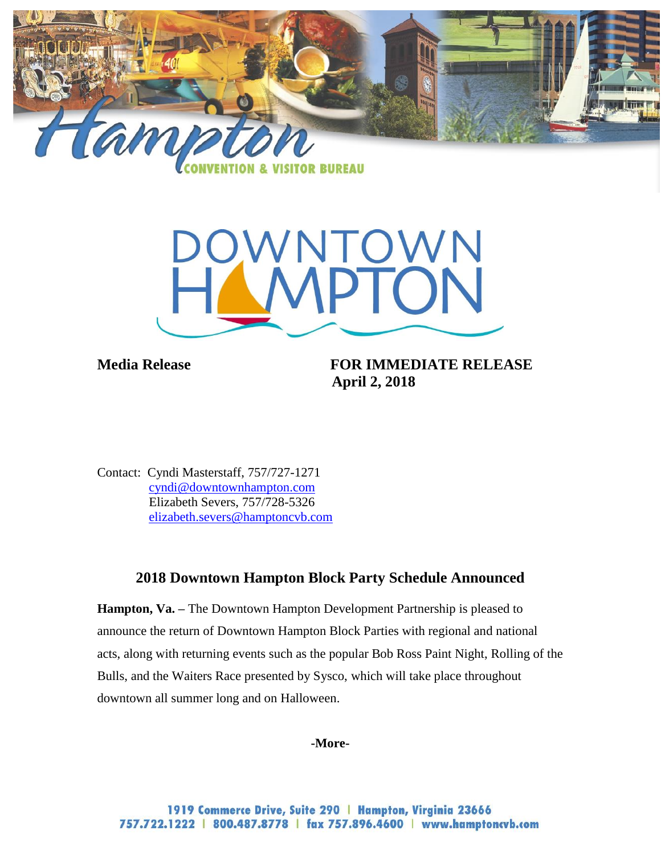



**Media Release FOR IMMEDIATE RELEASE April 2, 2018**

Contact: Cyndi Masterstaff, 757/727-1271 [cyndi@downtownhampton.com](mailto:cyndi@downtownhampton.com) Elizabeth Severs, 757/728-5326 [elizabeth.severs@hamptoncvb.com](mailto:elizabeth.severs@hamptoncvb.com)

## **2018 Downtown Hampton Block Party Schedule Announced**

**Hampton, Va. –** The Downtown Hampton Development Partnership is pleased to announce the return of Downtown Hampton Block Parties with regional and national acts, along with returning events such as the popular Bob Ross Paint Night, Rolling of the Bulls, and the Waiters Race presented by Sysco, which will take place throughout downtown all summer long and on Halloween.

**-More-**

1919 Commerce Drive, Suite 290 | Hampton, Virginia 23666 757.722.1222 | 800.487.8778 | fax 757.896.4600 | www.hamptoncvb.com